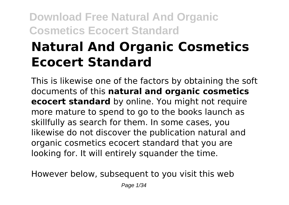# **Natural And Organic Cosmetics Ecocert Standard**

This is likewise one of the factors by obtaining the soft documents of this **natural and organic cosmetics ecocert standard** by online. You might not require more mature to spend to go to the books launch as skillfully as search for them. In some cases, you likewise do not discover the publication natural and organic cosmetics ecocert standard that you are looking for. It will entirely squander the time.

However below, subsequent to you visit this web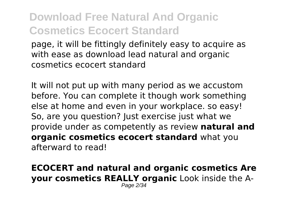page, it will be fittingly definitely easy to acquire as with ease as download lead natural and organic cosmetics ecocert standard

It will not put up with many period as we accustom before. You can complete it though work something else at home and even in your workplace. so easy! So, are you question? Just exercise just what we provide under as competently as review **natural and organic cosmetics ecocert standard** what you afterward to read!

**ECOCERT and natural and organic cosmetics Are your cosmetics REALLY organic** Look inside the A-Page 2/34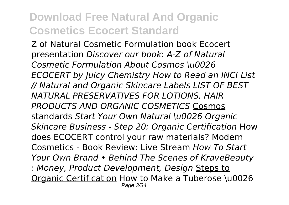Z of Natural Cosmetic Formulation book Ecocert presentation *Discover our book: A-Z of Natural Cosmetic Formulation About Cosmos \u0026 ECOCERT by Juicy Chemistry How to Read an INCI List // Natural and Organic Skincare Labels LIST OF BEST NATURAL PRESERVATIVES FOR LOTIONS, HAIR PRODUCTS AND ORGANIC COSMETICS* Cosmos standards *Start Your Own Natural \u0026 Organic Skincare Business - Step 20: Organic Certification* How does ECOCERT control your raw materials? Modern Cosmetics - Book Review: Live Stream *How To Start Your Own Brand • Behind The Scenes of KraveBeauty : Money, Product Development, Design* Steps to Organic Certification How to Make a Tuberose \u0026 Page 3/34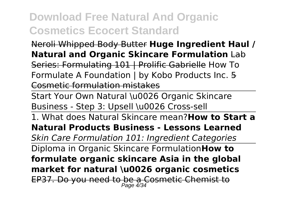Neroli Whipped Body Butter **Huge Ingredient Haul / Natural and Organic Skincare Formulation** Lab

Series: Formulating 101 | Prolific Gabrielle How To Formulate A Foundation | by Kobo Products Inc. 5 Cosmetic formulation mistakes

Start Your Own Natural \u0026 Organic Skincare Business - Step 3: Upsell \u0026 Cross-sell

1. What does Natural Skincare mean?**How to Start a Natural Products Business - Lessons Learned** *Skin Care Formulation 101: Ingredient Categories* Diploma in Organic Skincare Formulation**How to formulate organic skincare Asia in the global market for natural \u0026 organic cosmetics** EP37. Do you need to be a Cosmetic Chemist to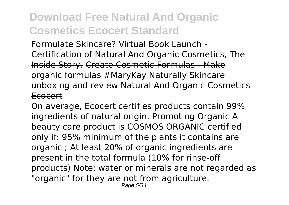Formulate Skincare? Virtual Book Launch - Certification of Natural And Organic Cosmetics, The Inside Story. Create Cosmetic Formulas - Make organic formulas #MaryKay Naturally Skincare unboxing and review Natural And Organic Cosmetics Ecocert

On average, Ecocert certifies products contain 99% ingredients of natural origin. Promoting Organic A beauty care product is COSMOS ORGANIC certified only if: 95% minimum of the plants it contains are organic ; At least 20% of organic ingredients are present in the total formula (10% for rinse-off products) Note: water or minerals are not regarded as "organic" for they are not from agriculture.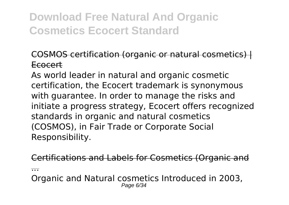#### COSMOS certification (organic or natural cosmetics) | Ecocert

As world leader in natural and organic cosmetic certification, the Ecocert trademark is synonymous with guarantee. In order to manage the risks and initiate a progress strategy, Ecocert offers recognized standards in organic and natural cosmetics (COSMOS), in Fair Trade or Corporate Social Responsibility.

Certifications and Labels for Cosmetics (Organic and

...

Organic and Natural cosmetics Introduced in 2003, Page 6/34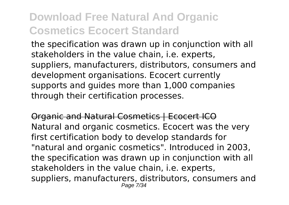the specification was drawn up in conjunction with all stakeholders in the value chain, i.e. experts, suppliers, manufacturers, distributors, consumers and development organisations. Ecocert currently supports and guides more than 1,000 companies through their certification processes.

Organic and Natural Cosmetics | Ecocert ICO Natural and organic cosmetics. Ecocert was the very first certification body to develop standards for "natural and organic cosmetics". Introduced in 2003, the specification was drawn up in conjunction with all stakeholders in the value chain, i.e. experts, suppliers, manufacturers, distributors, consumers and Page 7/34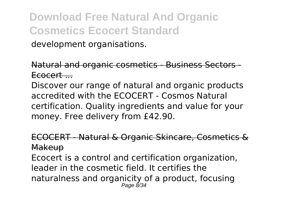development organisations.

Natural and organic cosmetics - Business Sectors - Ecocert ...

Discover our range of natural and organic products accredited with the ECOCERT - Cosmos Natural certification. Quality ingredients and value for your money. Free delivery from £42.90.

ECOCERT - Natural & Organic Skincare, Cosmetics & Makeup

Ecocert is a control and certification organization, leader in the cosmetic field. It certifies the naturalness and organicity of a product, focusing Page 8/34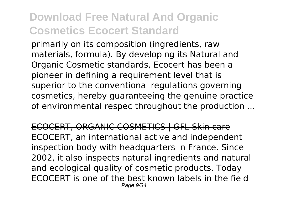primarily on its composition (ingredients, raw materials, formula). By developing its Natural and Organic Cosmetic standards, Ecocert has been a pioneer in defining a requirement level that is superior to the conventional regulations governing cosmetics, hereby guaranteeing the genuine practice of environmental respec throughout the production ...

ECOCERT, ORGANIC COSMETICS | GFL Skin care ECOCERT, an international active and independent inspection body with headquarters in France. Since 2002, it also inspects natural ingredients and natural and ecological quality of cosmetic products. Today ECOCERT is one of the best known labels in the field Page 9/34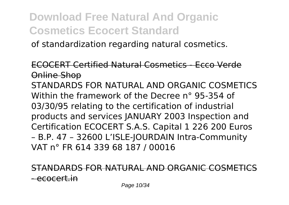of standardization regarding natural cosmetics.

ECOCERT Certified Natural Cosmetics - Ecco Verde Online Shop STANDARDS FOR NATURAL AND ORGANIC COSMETICS Within the framework of the Decree n° 95-354 of 03/30/95 relating to the certification of industrial products and services JANUARY 2003 Inspection and Certification ECOCERT S.A.S. Capital 1 226 200 Euros – B.P. 47 – 32600 L'ISLE-JOURDAIN Intra-Community VAT n° FR 614 339 68 187 / 00016

RDS FOR NATURAL AND ORGANIC COSM <del>- ecocert.in</del>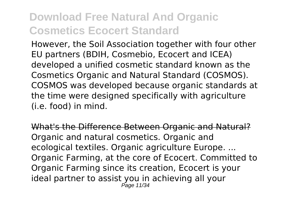However, the Soil Association together with four other EU partners (BDIH, Cosmebio, Ecocert and ICEA) developed a unified cosmetic standard known as the Cosmetics Organic and Natural Standard (COSMOS). COSMOS was developed because organic standards at the time were designed specifically with agriculture (i.e. food) in mind.

What's the Difference Between Organic and Natural? Organic and natural cosmetics. Organic and ecological textiles. Organic agriculture Europe. ... Organic Farming, at the core of Ecocert. Committed to Organic Farming since its creation, Ecocert is your ideal partner to assist you in achieving all your Page 11/34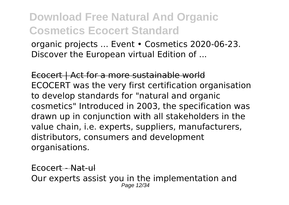organic projects ... Event • Cosmetics 2020-06-23. Discover the European virtual Edition of ...

Ecocert | Act for a more sustainable world ECOCERT was the very first certification organisation to develop standards for "natural and organic cosmetics" Introduced in 2003, the specification was drawn up in conjunction with all stakeholders in the value chain, i.e. experts, suppliers, manufacturers, distributors, consumers and development organisations.

Ecocert - Nat-ul Our experts assist you in the implementation and Page 12/34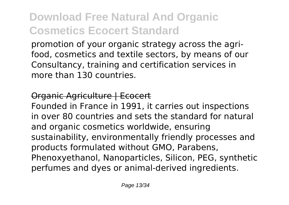promotion of your organic strategy across the agrifood, cosmetics and textile sectors, by means of our Consultancy, training and certification services in more than 130 countries.

#### Organic Agriculture | Ecocert

Founded in France in 1991, it carries out inspections in over 80 countries and sets the standard for natural and organic cosmetics worldwide, ensuring sustainability, environmentally friendly processes and products formulated without GMO, Parabens, Phenoxyethanol, Nanoparticles, Silicon, PEG, synthetic perfumes and dyes or animal-derived ingredients.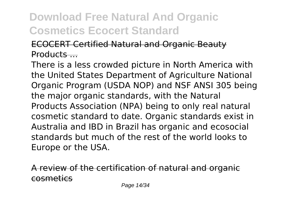### ECOCERT Certified Natural and Organic Beauty Products ...

There is a less crowded picture in North America with the United States Department of Agriculture National Organic Program (USDA NOP) and NSF ANSI 305 being the major organic standards, with the Natural Products Association (NPA) being to only real natural cosmetic standard to date. Organic standards exist in Australia and IBD in Brazil has organic and ecosocial standards but much of the rest of the world looks to Europe or the USA.

 $\alpha$  riew of the certification of natural and orga cosmetics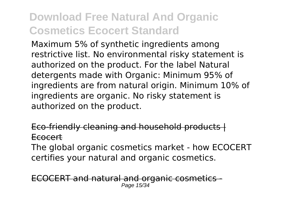Maximum 5% of synthetic ingredients among restrictive list. No environmental risky statement is authorized on the product. For the label Natural detergents made with Organic: Minimum 95% of ingredients are from natural origin. Minimum 10% of ingredients are organic. No risky statement is authorized on the product.

#### Eco-friendly cleaning and household products | Ecocert

The global organic cosmetics market - how ECOCERT certifies your natural and organic cosmetics.

#### COCERT and natural and organic cosme Page 15/3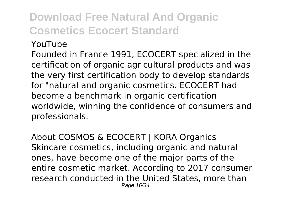#### YouTube

Founded in France 1991, ECOCERT specialized in the certification of organic agricultural products and was the very first certification body to develop standards for "natural and organic cosmetics. ECOCERT had become a benchmark in organic certification worldwide, winning the confidence of consumers and professionals.

About COSMOS & ECOCERT | KORA Organics Skincare cosmetics, including organic and natural ones, have become one of the major parts of the entire cosmetic market. According to 2017 consumer research conducted in the United States, more than Page 16/34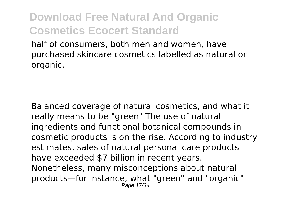half of consumers, both men and women, have purchased skincare cosmetics labelled as natural or organic.

Balanced coverage of natural cosmetics, and what it really means to be "green" The use of natural ingredients and functional botanical compounds in cosmetic products is on the rise. According to industry estimates, sales of natural personal care products have exceeded \$7 billion in recent years. Nonetheless, many misconceptions about natural products—for instance, what "green" and "organic" Page 17/34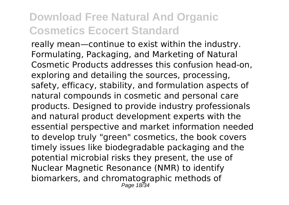really mean—continue to exist within the industry. Formulating, Packaging, and Marketing of Natural Cosmetic Products addresses this confusion head-on, exploring and detailing the sources, processing, safety, efficacy, stability, and formulation aspects of natural compounds in cosmetic and personal care products. Designed to provide industry professionals and natural product development experts with the essential perspective and market information needed to develop truly "green" cosmetics, the book covers timely issues like biodegradable packaging and the potential microbial risks they present, the use of Nuclear Magnetic Resonance (NMR) to identify biomarkers, and chromatographic methods of Page 18/34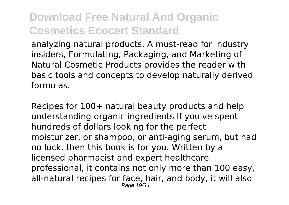analyzing natural products. A must-read for industry insiders, Formulating, Packaging, and Marketing of Natural Cosmetic Products provides the reader with basic tools and concepts to develop naturally derived formulas.

Recipes for 100+ natural beauty products and help understanding organic ingredients If you've spent hundreds of dollars looking for the perfect moisturizer, or shampoo, or anti-aging serum, but had no luck, then this book is for you. Written by a licensed pharmacist and expert healthcare professional, it contains not only more than 100 easy, all-natural recipes for face, hair, and body, it will also Page 19/34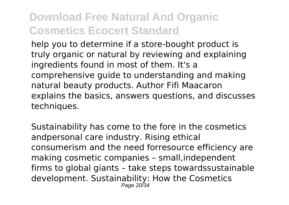help you to determine if a store-bought product is truly organic or natural by reviewing and explaining ingredients found in most of them. It's a comprehensive guide to understanding and making natural beauty products. Author Fifi Maacaron explains the basics, answers questions, and discusses techniques.

Sustainability has come to the fore in the cosmetics andpersonal care industry. Rising ethical consumerism and the need forresource efficiency are making cosmetic companies – small,independent firms to global giants – take steps towardssustainable development. Sustainability: How the Cosmetics Page 20/34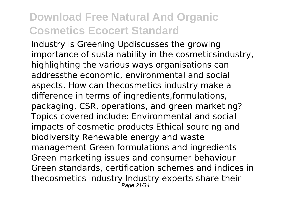Industry is Greening Updiscusses the growing importance of sustainability in the cosmeticsindustry, highlighting the various ways organisations can addressthe economic, environmental and social aspects. How can thecosmetics industry make a difference in terms of ingredients,formulations, packaging, CSR, operations, and green marketing? Topics covered include: Environmental and social impacts of cosmetic products Ethical sourcing and biodiversity Renewable energy and waste management Green formulations and ingredients Green marketing issues and consumer behaviour Green standards, certification schemes and indices in thecosmetics industry Industry experts share their Page 21/34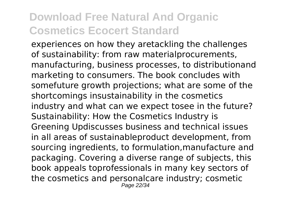experiences on how they aretackling the challenges of sustainability: from raw materialprocurements, manufacturing, business processes, to distributionand marketing to consumers. The book concludes with somefuture growth projections; what are some of the shortcomings insustainability in the cosmetics industry and what can we expect tosee in the future? Sustainability: How the Cosmetics Industry is Greening Updiscusses business and technical issues in all areas of sustainableproduct development, from sourcing ingredients, to formulation,manufacture and packaging. Covering a diverse range of subjects, this book appeals toprofessionals in many key sectors of the cosmetics and personalcare industry; cosmetic Page 22/34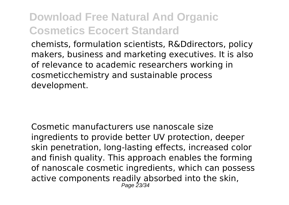chemists, formulation scientists, R&Ddirectors, policy makers, business and marketing executives. It is also of relevance to academic researchers working in cosmeticchemistry and sustainable process development.

Cosmetic manufacturers use nanoscale size ingredients to provide better UV protection, deeper skin penetration, long-lasting effects, increased color and finish quality. This approach enables the forming of nanoscale cosmetic ingredients, which can possess active components readily absorbed into the skin, Page 23/34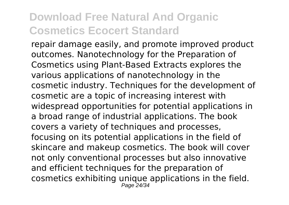repair damage easily, and promote improved product outcomes. Nanotechnology for the Preparation of Cosmetics using Plant-Based Extracts explores the various applications of nanotechnology in the cosmetic industry. Techniques for the development of cosmetic are a topic of increasing interest with widespread opportunities for potential applications in a broad range of industrial applications. The book covers a variety of techniques and processes, focusing on its potential applications in the field of skincare and makeup cosmetics. The book will cover not only conventional processes but also innovative and efficient techniques for the preparation of cosmetics exhibiting unique applications in the field. Page 24/34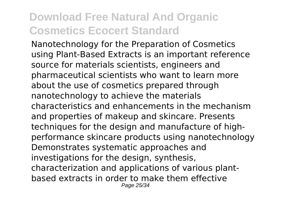Nanotechnology for the Preparation of Cosmetics using Plant-Based Extracts is an important reference source for materials scientists, engineers and pharmaceutical scientists who want to learn more about the use of cosmetics prepared through nanotechnology to achieve the materials characteristics and enhancements in the mechanism and properties of makeup and skincare. Presents techniques for the design and manufacture of highperformance skincare products using nanotechnology Demonstrates systematic approaches and investigations for the design, synthesis, characterization and applications of various plantbased extracts in order to make them effective Page 25/34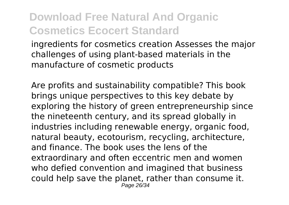ingredients for cosmetics creation Assesses the major challenges of using plant-based materials in the manufacture of cosmetic products

Are profits and sustainability compatible? This book brings unique perspectives to this key debate by exploring the history of green entrepreneurship since the nineteenth century, and its spread globally in industries including renewable energy, organic food, natural beauty, ecotourism, recycling, architecture, and finance. The book uses the lens of the extraordinary and often eccentric men and women who defied convention and imagined that business could help save the planet, rather than consume it. Page 26/34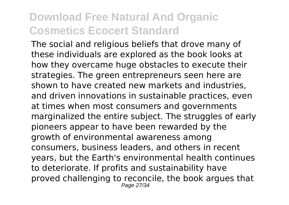The social and religious beliefs that drove many of these individuals are explored as the book looks at how they overcame huge obstacles to execute their strategies. The green entrepreneurs seen here are shown to have created new markets and industries, and driven innovations in sustainable practices, even at times when most consumers and governments marginalized the entire subject. The struggles of early pioneers appear to have been rewarded by the growth of environmental awareness among consumers, business leaders, and others in recent years, but the Earth's environmental health continues to deteriorate. If profits and sustainability have proved challenging to reconcile, the book argues that Page 27/34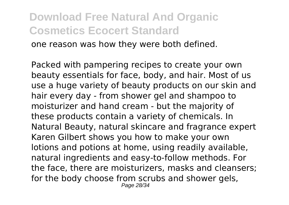one reason was how they were both defined.

Packed with pampering recipes to create your own beauty essentials for face, body, and hair. Most of us use a huge variety of beauty products on our skin and hair every day - from shower gel and shampoo to moisturizer and hand cream - but the majority of these products contain a variety of chemicals. In Natural Beauty, natural skincare and fragrance expert Karen Gilbert shows you how to make your own lotions and potions at home, using readily available, natural ingredients and easy-to-follow methods. For the face, there are moisturizers, masks and cleansers; for the body choose from scrubs and shower gels, Page 28/34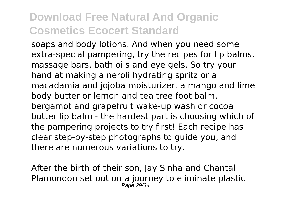soaps and body lotions. And when you need some extra-special pampering, try the recipes for lip balms, massage bars, bath oils and eye gels. So try your hand at making a neroli hydrating spritz or a macadamia and jojoba moisturizer, a mango and lime body butter or lemon and tea tree foot balm, bergamot and grapefruit wake-up wash or cocoa butter lip balm - the hardest part is choosing which of the pampering projects to try first! Each recipe has clear step-by-step photographs to guide you, and there are numerous variations to try.

After the birth of their son, Jay Sinha and Chantal Plamondon set out on a journey to eliminate plastic Page 29/34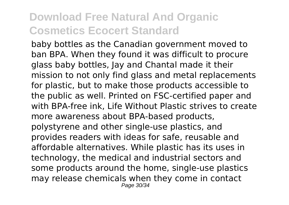baby bottles as the Canadian government moved to ban BPA. When they found it was difficult to procure glass baby bottles, Jay and Chantal made it their mission to not only find glass and metal replacements for plastic, but to make those products accessible to the public as well. Printed on FSC-certified paper and with BPA-free ink, Life Without Plastic strives to create more awareness about BPA-based products, polystyrene and other single-use plastics, and provides readers with ideas for safe, reusable and affordable alternatives. While plastic has its uses in technology, the medical and industrial sectors and some products around the home, single-use plastics may release chemicals when they come in contact Page 30/34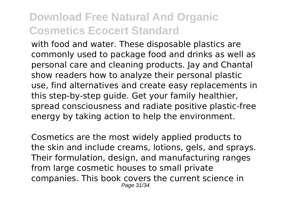with food and water. These disposable plastics are commonly used to package food and drinks as well as personal care and cleaning products. Jay and Chantal show readers how to analyze their personal plastic use, find alternatives and create easy replacements in this step-by-step guide. Get your family healthier, spread consciousness and radiate positive plastic-free energy by taking action to help the environment.

Cosmetics are the most widely applied products to the skin and include creams, lotions, gels, and sprays. Their formulation, design, and manufacturing ranges from large cosmetic houses to small private companies. This book covers the current science in Page 31/34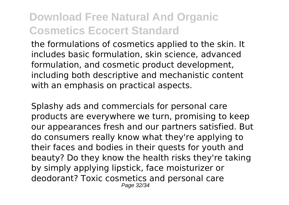the formulations of cosmetics applied to the skin. It includes basic formulation, skin science, advanced formulation, and cosmetic product development, including both descriptive and mechanistic content with an emphasis on practical aspects.

Splashy ads and commercials for personal care products are everywhere we turn, promising to keep our appearances fresh and our partners satisfied. But do consumers really know what they're applying to their faces and bodies in their quests for youth and beauty? Do they know the health risks they're taking by simply applying lipstick, face moisturizer or deodorant? Toxic cosmetics and personal care Page 32/34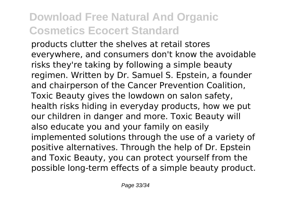products clutter the shelves at retail stores everywhere, and consumers don't know the avoidable risks they're taking by following a simple beauty regimen. Written by Dr. Samuel S. Epstein, a founder and chairperson of the Cancer Prevention Coalition, Toxic Beauty gives the lowdown on salon safety, health risks hiding in everyday products, how we put our children in danger and more. Toxic Beauty will also educate you and your family on easily implemented solutions through the use of a variety of positive alternatives. Through the help of Dr. Epstein and Toxic Beauty, you can protect yourself from the possible long-term effects of a simple beauty product.